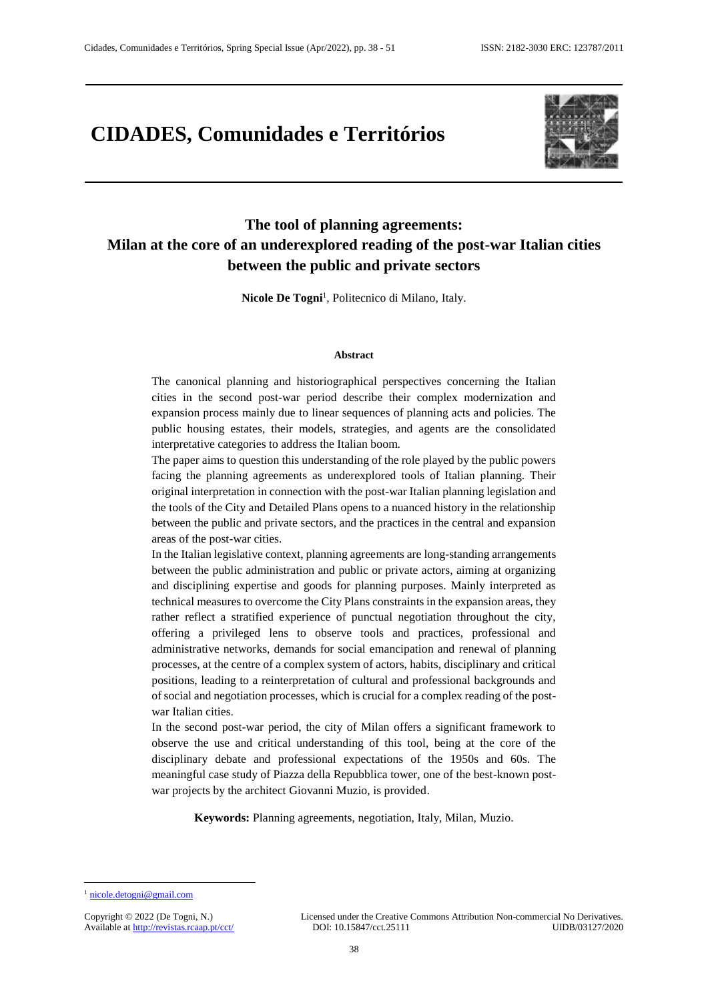# **CIDADES, Comunidades e Territórios**



# **The tool of planning agreements: Milan at the core of an underexplored reading of the post-war Italian cities between the public and private sectors**

Nicole De Togni<sup>1</sup>, Politecnico di Milano, Italy.

#### **Abstract**

The canonical planning and historiographical perspectives concerning the Italian cities in the second post-war period describe their complex modernization and expansion process mainly due to linear sequences of planning acts and policies. The public housing estates, their models, strategies, and agents are the consolidated interpretative categories to address the Italian boom.

The paper aims to question this understanding of the role played by the public powers facing the planning agreements as underexplored tools of Italian planning. Their original interpretation in connection with the post-war Italian planning legislation and the tools of the City and Detailed Plans opens to a nuanced history in the relationship between the public and private sectors, and the practices in the central and expansion areas of the post-war cities.

In the Italian legislative context, planning agreements are long-standing arrangements between the public administration and public or private actors, aiming at organizing and disciplining expertise and goods for planning purposes. Mainly interpreted as technical measures to overcome the City Plans constraints in the expansion areas, they rather reflect a stratified experience of punctual negotiation throughout the city, offering a privileged lens to observe tools and practices, professional and administrative networks, demands for social emancipation and renewal of planning processes, at the centre of a complex system of actors, habits, disciplinary and critical positions, leading to a reinterpretation of cultural and professional backgrounds and of social and negotiation processes, which is crucial for a complex reading of the postwar Italian cities.

In the second post-war period, the city of Milan offers a significant framework to observe the use and critical understanding of this tool, being at the core of the disciplinary debate and professional expectations of the 1950s and 60s. The meaningful case study of Piazza della Repubblica tower, one of the best-known postwar projects by the architect Giovanni Muzio, is provided.

**Keywords:** Planning agreements, negotiation, Italy, Milan, Muzio.

l

<sup>&</sup>lt;sup>1</sup> [nicole.detogni@gmail.com](mailto:nicole.detogni@gmail.com)

Available at http://revistas.rcaap.pt/cct/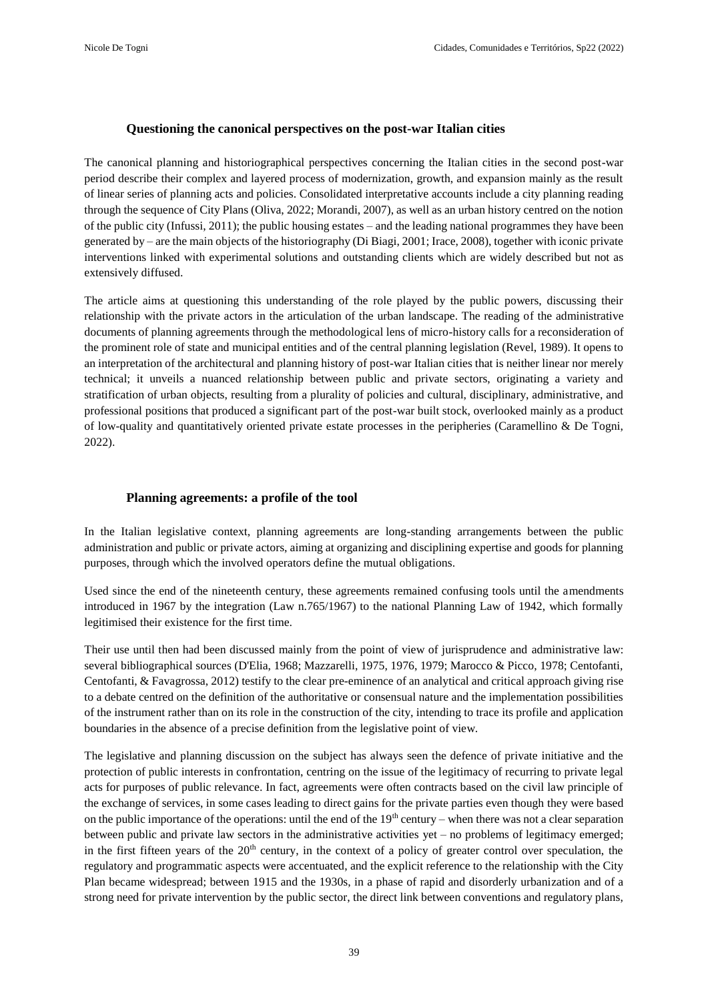# **Questioning the canonical perspectives on the post-war Italian cities**

The canonical planning and historiographical perspectives concerning the Italian cities in the second post-war period describe their complex and layered process of modernization, growth, and expansion mainly as the result of linear series of planning acts and policies. Consolidated interpretative accounts include a city planning reading through the sequence of City Plans (Oliva, 2022; Morandi, 2007), as well as an urban history centred on the notion of the public city (Infussi, 2011); the public housing estates – and the leading national programmes they have been generated by – are the main objects of the historiography (Di Biagi, 2001; Irace, 2008), together with iconic private interventions linked with experimental solutions and outstanding clients which are widely described but not as extensively diffused.

The article aims at questioning this understanding of the role played by the public powers, discussing their relationship with the private actors in the articulation of the urban landscape. The reading of the administrative documents of planning agreements through the methodological lens of micro-history calls for a reconsideration of the prominent role of state and municipal entities and of the central planning legislation (Revel, 1989). It opens to an interpretation of the architectural and planning history of post-war Italian cities that is neither linear nor merely technical; it unveils a nuanced relationship between public and private sectors, originating a variety and stratification of urban objects, resulting from a plurality of policies and cultural, disciplinary, administrative, and professional positions that produced a significant part of the post-war built stock, overlooked mainly as a product of low-quality and quantitatively oriented private estate processes in the peripheries (Caramellino & De Togni, 2022).

# **Planning agreements: a profile of the tool**

In the Italian legislative context, planning agreements are long-standing arrangements between the public administration and public or private actors, aiming at organizing and disciplining expertise and goods for planning purposes, through which the involved operators define the mutual obligations.

Used since the end of the nineteenth century, these agreements remained confusing tools until the amendments introduced in 1967 by the integration (Law n.765/1967) to the national Planning Law of 1942, which formally legitimised their existence for the first time.

Their use until then had been discussed mainly from the point of view of jurisprudence and administrative law: several bibliographical sources (D'Elia, 1968; Mazzarelli, 1975, 1976, 1979; Marocco & Picco, 1978; Centofanti, Centofanti, & Favagrossa, 2012) testify to the clear pre-eminence of an analytical and critical approach giving rise to a debate centred on the definition of the authoritative or consensual nature and the implementation possibilities of the instrument rather than on its role in the construction of the city, intending to trace its profile and application boundaries in the absence of a precise definition from the legislative point of view.

The legislative and planning discussion on the subject has always seen the defence of private initiative and the protection of public interests in confrontation, centring on the issue of the legitimacy of recurring to private legal acts for purposes of public relevance. In fact, agreements were often contracts based on the civil law principle of the exchange of services, in some cases leading to direct gains for the private parties even though they were based on the public importance of the operations: until the end of the  $19<sup>th</sup>$  century – when there was not a clear separation between public and private law sectors in the administrative activities yet – no problems of legitimacy emerged; in the first fifteen years of the  $20<sup>th</sup>$  century, in the context of a policy of greater control over speculation, the regulatory and programmatic aspects were accentuated, and the explicit reference to the relationship with the City Plan became widespread; between 1915 and the 1930s, in a phase of rapid and disorderly urbanization and of a strong need for private intervention by the public sector, the direct link between conventions and regulatory plans,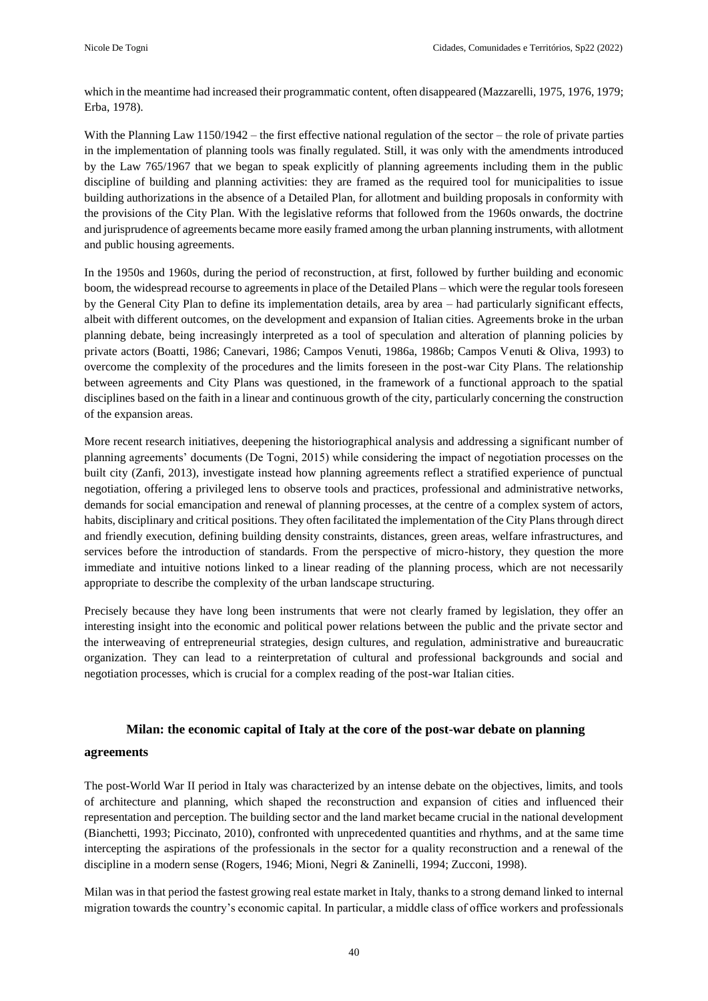which in the meantime had increased their programmatic content, often disappeared (Mazzarelli, 1975, 1976, 1979; Erba, 1978).

With the Planning Law 1150/1942 – the first effective national regulation of the sector – the role of private parties in the implementation of planning tools was finally regulated. Still, it was only with the amendments introduced by the Law 765/1967 that we began to speak explicitly of planning agreements including them in the public discipline of building and planning activities: they are framed as the required tool for municipalities to issue building authorizations in the absence of a Detailed Plan, for allotment and building proposals in conformity with the provisions of the City Plan. With the legislative reforms that followed from the 1960s onwards, the doctrine and jurisprudence of agreements became more easily framed among the urban planning instruments, with allotment and public housing agreements.

In the 1950s and 1960s, during the period of reconstruction, at first, followed by further building and economic boom, the widespread recourse to agreements in place of the Detailed Plans – which were the regular tools foreseen by the General City Plan to define its implementation details, area by area – had particularly significant effects, albeit with different outcomes, on the development and expansion of Italian cities. Agreements broke in the urban planning debate, being increasingly interpreted as a tool of speculation and alteration of planning policies by private actors (Boatti, 1986; Canevari, 1986; Campos Venuti, 1986a, 1986b; Campos Venuti & Oliva, 1993) to overcome the complexity of the procedures and the limits foreseen in the post-war City Plans. The relationship between agreements and City Plans was questioned, in the framework of a functional approach to the spatial disciplines based on the faith in a linear and continuous growth of the city, particularly concerning the construction of the expansion areas.

More recent research initiatives, deepening the historiographical analysis and addressing a significant number of planning agreements' documents (De Togni, 2015) while considering the impact of negotiation processes on the built city (Zanfi, 2013), investigate instead how planning agreements reflect a stratified experience of punctual negotiation, offering a privileged lens to observe tools and practices, professional and administrative networks, demands for social emancipation and renewal of planning processes, at the centre of a complex system of actors, habits, disciplinary and critical positions. They often facilitated the implementation of the City Plans through direct and friendly execution, defining building density constraints, distances, green areas, welfare infrastructures, and services before the introduction of standards. From the perspective of micro-history, they question the more immediate and intuitive notions linked to a linear reading of the planning process, which are not necessarily appropriate to describe the complexity of the urban landscape structuring.

Precisely because they have long been instruments that were not clearly framed by legislation, they offer an interesting insight into the economic and political power relations between the public and the private sector and the interweaving of entrepreneurial strategies, design cultures, and regulation, administrative and bureaucratic organization. They can lead to a reinterpretation of cultural and professional backgrounds and social and negotiation processes, which is crucial for a complex reading of the post-war Italian cities.

#### **Milan: the economic capital of Italy at the core of the post-war debate on planning**

#### **agreements**

The post-World War II period in Italy was characterized by an intense debate on the objectives, limits, and tools of architecture and planning, which shaped the reconstruction and expansion of cities and influenced their representation and perception. The building sector and the land market became crucial in the national development (Bianchetti, 1993; Piccinato, 2010), confronted with unprecedented quantities and rhythms, and at the same time intercepting the aspirations of the professionals in the sector for a quality reconstruction and a renewal of the discipline in a modern sense (Rogers, 1946; Mioni, Negri & Zaninelli, 1994; Zucconi, 1998).

Milan was in that period the fastest growing real estate market in Italy, thanks to a strong demand linked to internal migration towards the country's economic capital. In particular, a middle class of office workers and professionals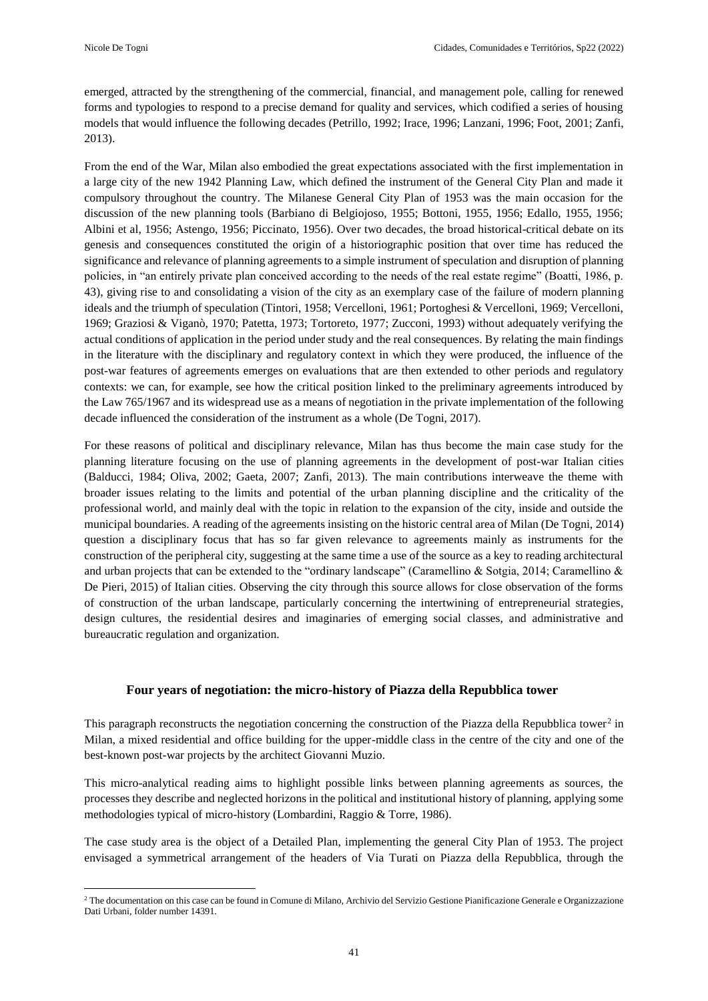$\overline{\phantom{a}}$ 

emerged, attracted by the strengthening of the commercial, financial, and management pole, calling for renewed forms and typologies to respond to a precise demand for quality and services, which codified a series of housing models that would influence the following decades (Petrillo, 1992; Irace, 1996; Lanzani, 1996; Foot, 2001; Zanfi, 2013).

From the end of the War, Milan also embodied the great expectations associated with the first implementation in a large city of the new 1942 Planning Law, which defined the instrument of the General City Plan and made it compulsory throughout the country. The Milanese General City Plan of 1953 was the main occasion for the discussion of the new planning tools (Barbiano di Belgiojoso, 1955; Bottoni, 1955, 1956; Edallo, 1955, 1956; Albini et al, 1956; Astengo, 1956; Piccinato, 1956). Over two decades, the broad historical-critical debate on its genesis and consequences constituted the origin of a historiographic position that over time has reduced the significance and relevance of planning agreements to a simple instrument of speculation and disruption of planning policies, in "an entirely private plan conceived according to the needs of the real estate regime" (Boatti, 1986, p. 43), giving rise to and consolidating a vision of the city as an exemplary case of the failure of modern planning ideals and the triumph of speculation (Tintori, 1958; Vercelloni, 1961; Portoghesi & Vercelloni, 1969; Vercelloni, 1969; Graziosi & Viganò, 1970; Patetta, 1973; Tortoreto, 1977; Zucconi, 1993) without adequately verifying the actual conditions of application in the period under study and the real consequences. By relating the main findings in the literature with the disciplinary and regulatory context in which they were produced, the influence of the post-war features of agreements emerges on evaluations that are then extended to other periods and regulatory contexts: we can, for example, see how the critical position linked to the preliminary agreements introduced by the Law 765/1967 and its widespread use as a means of negotiation in the private implementation of the following decade influenced the consideration of the instrument as a whole (De Togni, 2017).

For these reasons of political and disciplinary relevance, Milan has thus become the main case study for the planning literature focusing on the use of planning agreements in the development of post-war Italian cities (Balducci, 1984; Oliva, 2002; Gaeta, 2007; Zanfi, 2013). The main contributions interweave the theme with broader issues relating to the limits and potential of the urban planning discipline and the criticality of the professional world, and mainly deal with the topic in relation to the expansion of the city, inside and outside the municipal boundaries. A reading of the agreements insisting on the historic central area of Milan (De Togni, 2014) question a disciplinary focus that has so far given relevance to agreements mainly as instruments for the construction of the peripheral city, suggesting at the same time a use of the source as a key to reading architectural and urban projects that can be extended to the "ordinary landscape" (Caramellino & Sotgia, 2014; Caramellino & De Pieri, 2015) of Italian cities. Observing the city through this source allows for close observation of the forms of construction of the urban landscape, particularly concerning the intertwining of entrepreneurial strategies, design cultures, the residential desires and imaginaries of emerging social classes, and administrative and bureaucratic regulation and organization.

# **Four years of negotiation: the micro-history of Piazza della Repubblica tower**

This paragraph reconstructs the negotiation concerning the construction of the Piazza della Repubblica tower<sup>2</sup> in Milan, a mixed residential and office building for the upper-middle class in the centre of the city and one of the best-known post-war projects by the architect Giovanni Muzio.

This micro-analytical reading aims to highlight possible links between planning agreements as sources, the processes they describe and neglected horizons in the political and institutional history of planning, applying some methodologies typical of micro-history (Lombardini, Raggio & Torre, 1986).

The case study area is the object of a Detailed Plan, implementing the general City Plan of 1953. The project envisaged a symmetrical arrangement of the headers of Via Turati on Piazza della Repubblica, through the

<sup>2</sup> The documentation on this case can be found in Comune di Milano, Archivio del Servizio Gestione Pianificazione Generale e Organizzazione Dati Urbani, folder number 14391.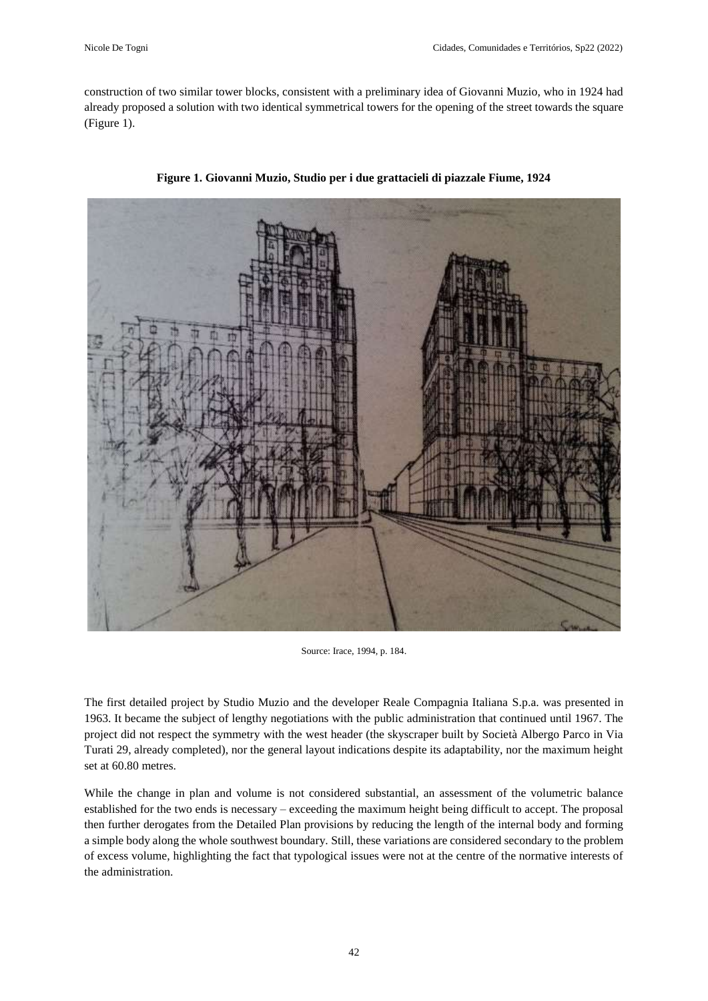construction of two similar tower blocks, consistent with a preliminary idea of Giovanni Muzio, who in 1924 had already proposed a solution with two identical symmetrical towers for the opening of the street towards the square (Figure 1).



**Figure 1. Giovanni Muzio, Studio per i due grattacieli di piazzale Fiume, 1924** 

Source: Irace, 1994, p. 184.

The first detailed project by Studio Muzio and the developer Reale Compagnia Italiana S.p.a. was presented in 1963. It became the subject of lengthy negotiations with the public administration that continued until 1967. The project did not respect the symmetry with the west header (the skyscraper built by Società Albergo Parco in Via Turati 29, already completed), nor the general layout indications despite its adaptability, nor the maximum height set at 60.80 metres.

While the change in plan and volume is not considered substantial, an assessment of the volumetric balance established for the two ends is necessary – exceeding the maximum height being difficult to accept. The proposal then further derogates from the Detailed Plan provisions by reducing the length of the internal body and forming a simple body along the whole southwest boundary. Still, these variations are considered secondary to the problem of excess volume, highlighting the fact that typological issues were not at the centre of the normative interests of the administration.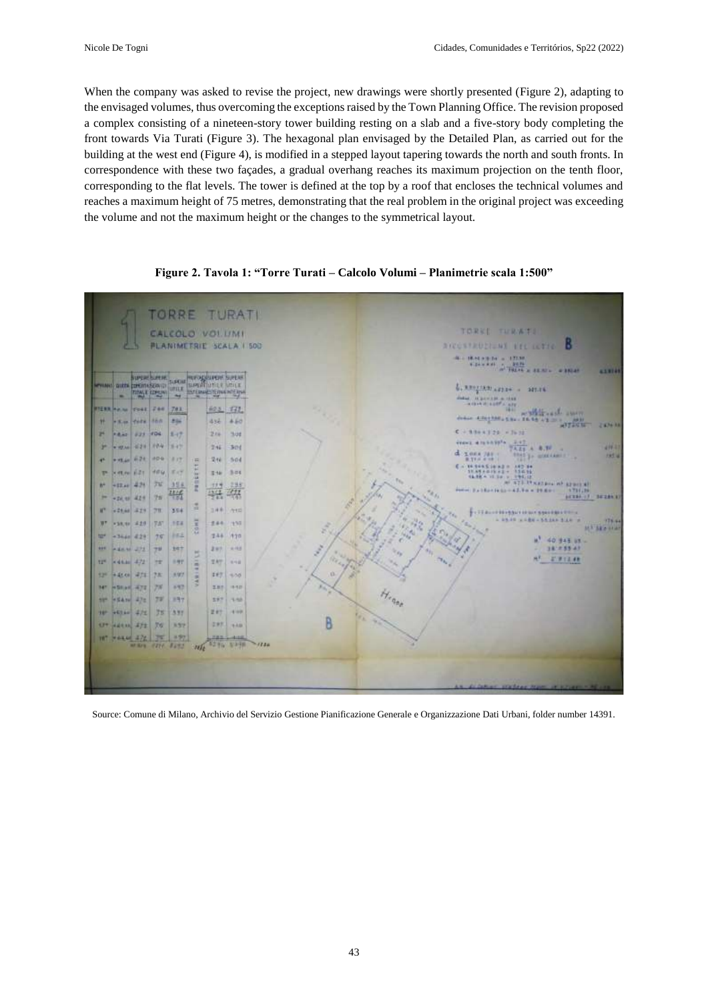When the company was asked to revise the project, new drawings were shortly presented (Figure 2), adapting to the envisaged volumes, thus overcoming the exceptions raised by the Town Planning Office. The revision proposed a complex consisting of a nineteen-story tower building resting on a slab and a five-story body completing the front towards Via Turati (Figure 3). The hexagonal plan envisaged by the Detailed Plan, as carried out for the building at the west end (Figure 4), is modified in a stepped layout tapering towards the north and south fronts. In correspondence with these two façades, a gradual overhang reaches its maximum projection on the tenth floor, corresponding to the flat levels. The tower is defined at the top by a roof that encloses the technical volumes and reaches a maximum height of 75 metres, demonstrating that the real problem in the original project was exceeding the volume and not the maximum height or the changes to the symmetrical layout.



**Figure 2. Tavola 1: "Torre Turati – Calcolo Volumi – Planimetrie scala 1:500"**

Source: Comune di Milano, Archivio del Servizio Gestione Pianificazione Generale e Organizzazione Dati Urbani, folder number 14391.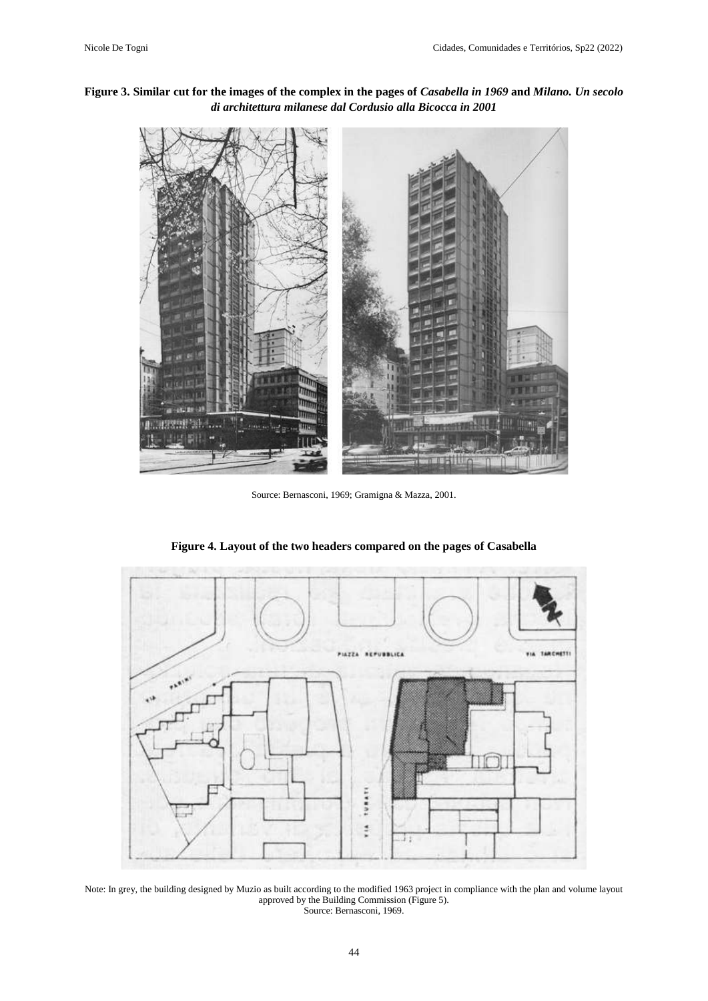# **Figure 3. Similar cut for the images of the complex in the pages of** *Casabella in 1969* **and** *Milano. Un secolo di architettura milanese dal Cordusio alla Bicocca in 2001*



Source: Bernasconi, 1969; Gramigna & Mazza, 2001.



**Figure 4. Layout of the two headers compared on the pages of Casabella**

Note: In grey, the building designed by Muzio as built according to the modified 1963 project in compliance with the plan and volume layout approved by the Building Commission (Figure 5). Source: Bernasconi, 1969.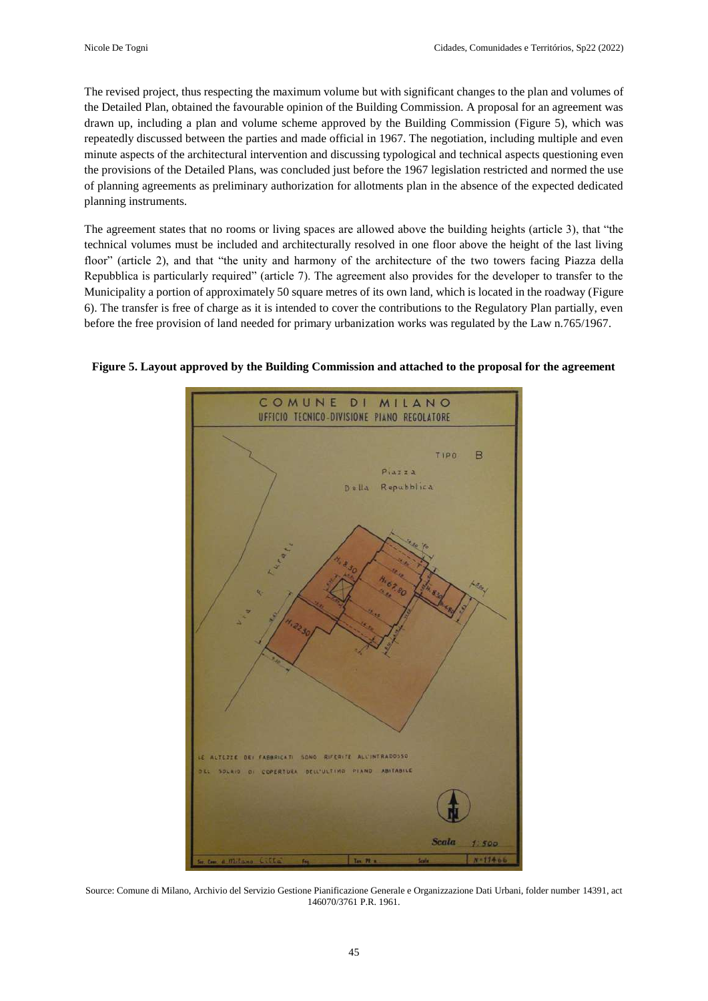The revised project, thus respecting the maximum volume but with significant changes to the plan and volumes of the Detailed Plan, obtained the favourable opinion of the Building Commission. A proposal for an agreement was drawn up, including a plan and volume scheme approved by the Building Commission (Figure 5), which was repeatedly discussed between the parties and made official in 1967. The negotiation, including multiple and even minute aspects of the architectural intervention and discussing typological and technical aspects questioning even the provisions of the Detailed Plans, was concluded just before the 1967 legislation restricted and normed the use of planning agreements as preliminary authorization for allotments plan in the absence of the expected dedicated planning instruments.

The agreement states that no rooms or living spaces are allowed above the building heights (article 3), that "the technical volumes must be included and architecturally resolved in one floor above the height of the last living floor" (article 2), and that "the unity and harmony of the architecture of the two towers facing Piazza della Repubblica is particularly required" (article 7). The agreement also provides for the developer to transfer to the Municipality a portion of approximately 50 square metres of its own land, which is located in the roadway (Figure 6). The transfer is free of charge as it is intended to cover the contributions to the Regulatory Plan partially, even before the free provision of land needed for primary urbanization works was regulated by the Law n.765/1967.



**Figure 5. Layout approved by the Building Commission and attached to the proposal for the agreement**

Source: Comune di Milano, Archivio del Servizio Gestione Pianificazione Generale e Organizzazione Dati Urbani, folder number 14391, act 146070/3761 P.R. 1961.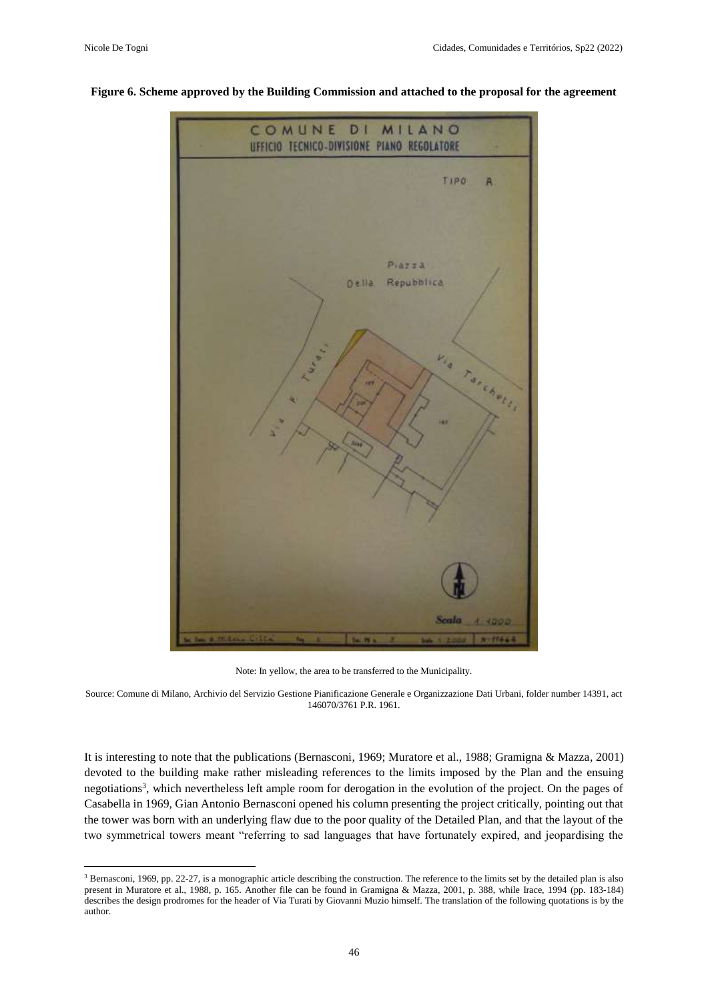$\overline{a}$ 



#### **Figure 6. Scheme approved by the Building Commission and attached to the proposal for the agreement**

Note: In yellow, the area to be transferred to the Municipality.

Source: Comune di Milano, Archivio del Servizio Gestione Pianificazione Generale e Organizzazione Dati Urbani, folder number 14391, act 146070/3761 P.R. 1961.

It is interesting to note that the publications (Bernasconi, 1969; Muratore et al., 1988; Gramigna & Mazza, 2001) devoted to the building make rather misleading references to the limits imposed by the Plan and the ensuing negotiations<sup>3</sup>, which nevertheless left ample room for derogation in the evolution of the project. On the pages of Casabella in 1969, Gian Antonio Bernasconi opened his column presenting the project critically, pointing out that the tower was born with an underlying flaw due to the poor quality of the Detailed Plan, and that the layout of the two symmetrical towers meant "referring to sad languages that have fortunately expired, and jeopardising the

<sup>&</sup>lt;sup>3</sup> Bernasconi, 1969, pp. 22-27, is a monographic article describing the construction. The reference to the limits set by the detailed plan is also present in Muratore et al., 1988, p. 165. Another file can be found in Gramigna & Mazza, 2001, p. 388, while Irace, 1994 (pp. 183-184) describes the design prodromes for the header of Via Turati by Giovanni Muzio himself. The translation of the following quotations is by the author.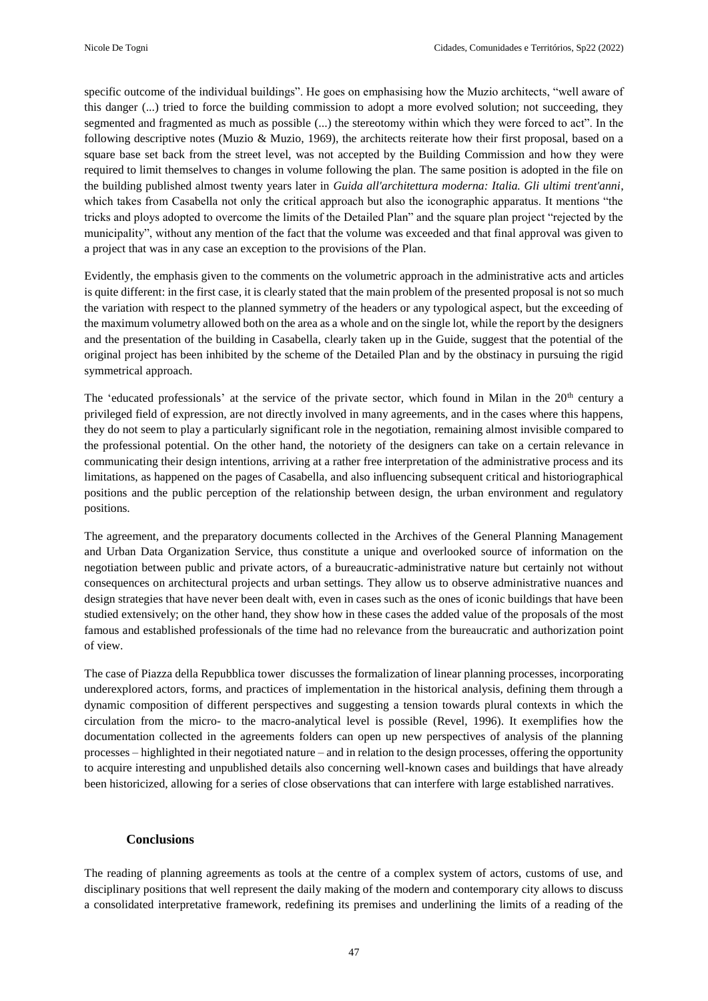specific outcome of the individual buildings". He goes on emphasising how the Muzio architects, "well aware of this danger (...) tried to force the building commission to adopt a more evolved solution; not succeeding, they segmented and fragmented as much as possible (...) the stereotomy within which they were forced to act". In the following descriptive notes (Muzio & Muzio, 1969), the architects reiterate how their first proposal, based on a square base set back from the street level, was not accepted by the Building Commission and how they were required to limit themselves to changes in volume following the plan. The same position is adopted in the file on the building published almost twenty years later in *Guida all'architettura moderna: Italia. Gli ultimi trent'anni*, which takes from Casabella not only the critical approach but also the iconographic apparatus. It mentions "the tricks and ploys adopted to overcome the limits of the Detailed Plan" and the square plan project "rejected by the municipality", without any mention of the fact that the volume was exceeded and that final approval was given to a project that was in any case an exception to the provisions of the Plan.

Evidently, the emphasis given to the comments on the volumetric approach in the administrative acts and articles is quite different: in the first case, it is clearly stated that the main problem of the presented proposal is not so much the variation with respect to the planned symmetry of the headers or any typological aspect, but the exceeding of the maximum volumetry allowed both on the area as a whole and on the single lot, while the report by the designers and the presentation of the building in Casabella, clearly taken up in the Guide, suggest that the potential of the original project has been inhibited by the scheme of the Detailed Plan and by the obstinacy in pursuing the rigid symmetrical approach.

The 'educated professionals' at the service of the private sector, which found in Milan in the 20<sup>th</sup> century a privileged field of expression, are not directly involved in many agreements, and in the cases where this happens, they do not seem to play a particularly significant role in the negotiation, remaining almost invisible compared to the professional potential. On the other hand, the notoriety of the designers can take on a certain relevance in communicating their design intentions, arriving at a rather free interpretation of the administrative process and its limitations, as happened on the pages of Casabella, and also influencing subsequent critical and historiographical positions and the public perception of the relationship between design, the urban environment and regulatory positions.

The agreement, and the preparatory documents collected in the Archives of the General Planning Management and Urban Data Organization Service, thus constitute a unique and overlooked source of information on the negotiation between public and private actors, of a bureaucratic-administrative nature but certainly not without consequences on architectural projects and urban settings. They allow us to observe administrative nuances and design strategies that have never been dealt with, even in cases such as the ones of iconic buildings that have been studied extensively; on the other hand, they show how in these cases the added value of the proposals of the most famous and established professionals of the time had no relevance from the bureaucratic and authorization point of view.

The case of Piazza della Repubblica tower discusses the formalization of linear planning processes, incorporating underexplored actors, forms, and practices of implementation in the historical analysis, defining them through a dynamic composition of different perspectives and suggesting a tension towards plural contexts in which the circulation from the micro- to the macro-analytical level is possible (Revel, 1996). It exemplifies how the documentation collected in the agreements folders can open up new perspectives of analysis of the planning processes – highlighted in their negotiated nature – and in relation to the design processes, offering the opportunity to acquire interesting and unpublished details also concerning well-known cases and buildings that have already been historicized, allowing for a series of close observations that can interfere with large established narratives.

# **Conclusions**

The reading of planning agreements as tools at the centre of a complex system of actors, customs of use, and disciplinary positions that well represent the daily making of the modern and contemporary city allows to discuss a consolidated interpretative framework, redefining its premises and underlining the limits of a reading of the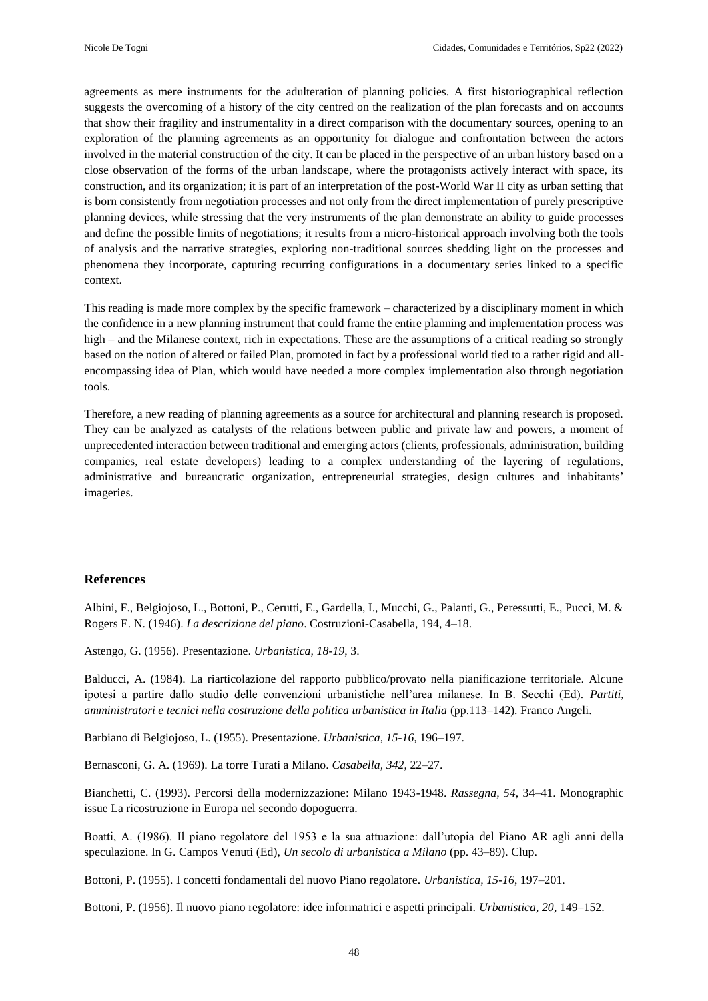agreements as mere instruments for the adulteration of planning policies. A first historiographical reflection suggests the overcoming of a history of the city centred on the realization of the plan forecasts and on accounts that show their fragility and instrumentality in a direct comparison with the documentary sources, opening to an exploration of the planning agreements as an opportunity for dialogue and confrontation between the actors involved in the material construction of the city. It can be placed in the perspective of an urban history based on a close observation of the forms of the urban landscape, where the protagonists actively interact with space, its construction, and its organization; it is part of an interpretation of the post-World War II city as urban setting that is born consistently from negotiation processes and not only from the direct implementation of purely prescriptive planning devices, while stressing that the very instruments of the plan demonstrate an ability to guide processes and define the possible limits of negotiations; it results from a micro-historical approach involving both the tools of analysis and the narrative strategies, exploring non-traditional sources shedding light on the processes and phenomena they incorporate, capturing recurring configurations in a documentary series linked to a specific context.

This reading is made more complex by the specific framework – characterized by a disciplinary moment in which the confidence in a new planning instrument that could frame the entire planning and implementation process was high – and the Milanese context, rich in expectations. These are the assumptions of a critical reading so strongly based on the notion of altered or failed Plan, promoted in fact by a professional world tied to a rather rigid and allencompassing idea of Plan, which would have needed a more complex implementation also through negotiation tools.

Therefore, a new reading of planning agreements as a source for architectural and planning research is proposed. They can be analyzed as catalysts of the relations between public and private law and powers, a moment of unprecedented interaction between traditional and emerging actors (clients, professionals, administration, building companies, real estate developers) leading to a complex understanding of the layering of regulations, administrative and bureaucratic organization, entrepreneurial strategies, design cultures and inhabitants' imageries.

#### **References**

Albini, F., Belgiojoso, L., Bottoni, P., Cerutti, E., Gardella, I., Mucchi, G., Palanti, G., Peressutti, E., Pucci, M. & Rogers E. N. (1946). *La descrizione del piano*. Costruzioni-Casabella, 194, 4–18.

Astengo, G. (1956). Presentazione. *Urbanistica, 18-19*, 3.

Balducci, A. (1984). La riarticolazione del rapporto pubblico/provato nella pianificazione territoriale. Alcune ipotesi a partire dallo studio delle convenzioni urbanistiche nell'area milanese. In B. Secchi (Ed). *Partiti, amministratori e tecnici nella costruzione della politica urbanistica in Italia* (pp.113–142). Franco Angeli.

Barbiano di Belgiojoso, L. (1955). Presentazione. *Urbanistica, 15-16*, 196–197.

Bernasconi, G. A. (1969). La torre Turati a Milano. *Casabella, 342*, 22–27.

Bianchetti, C. (1993). Percorsi della modernizzazione: Milano 1943-1948. *Rassegna, 54*, 34–41. Monographic issue La ricostruzione in Europa nel secondo dopoguerra.

Boatti, A. (1986). Il piano regolatore del 1953 e la sua attuazione: dall'utopia del Piano AR agli anni della speculazione. In G. Campos Venuti (Ed), *Un secolo di urbanistica a Milano* (pp. 43–89). Clup.

Bottoni, P. (1955). I concetti fondamentali del nuovo Piano regolatore. *Urbanistica, 15-16*, 197–201.

Bottoni, P. (1956). Il nuovo piano regolatore: idee informatrici e aspetti principali. *Urbanistica, 20*, 149–152.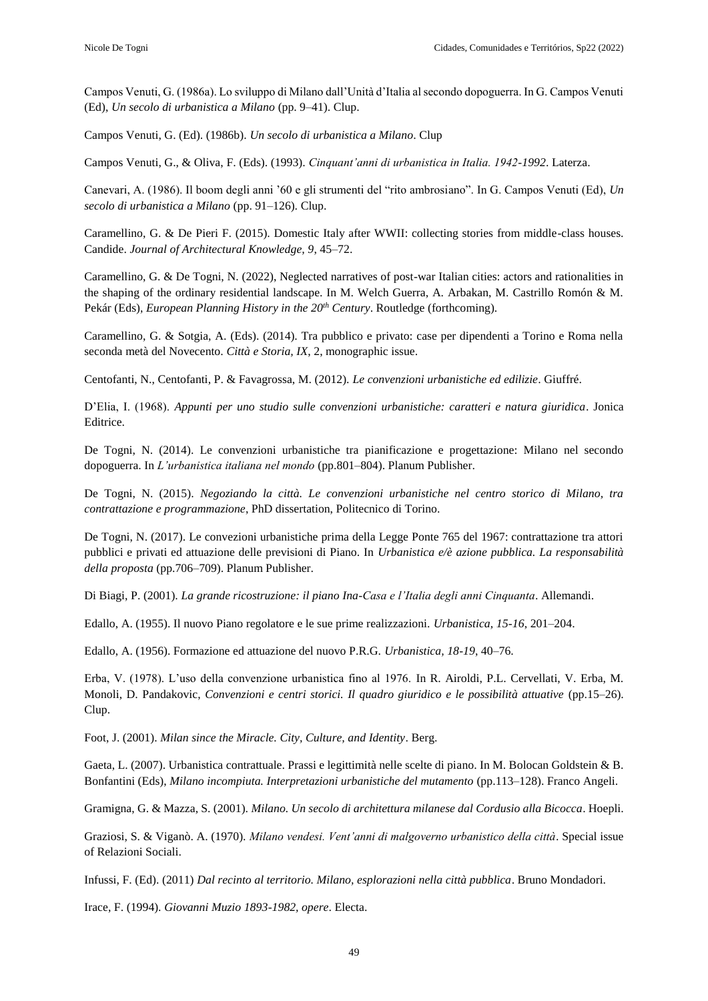Campos Venuti, G. (1986a). Lo sviluppo di Milano dall'Unità d'Italia al secondo dopoguerra. In G. Campos Venuti (Ed), *Un secolo di urbanistica a Milano* (pp. 9–41). Clup.

Campos Venuti, G. (Ed). (1986b). *Un secolo di urbanistica a Milano*. Clup

Campos Venuti, G., & Oliva, F. (Eds). (1993). *Cinquant'anni di urbanistica in Italia. 1942-1992*. Laterza.

Canevari, A. (1986). Il boom degli anni '60 e gli strumenti del "rito ambrosiano". In G. Campos Venuti (Ed), *Un secolo di urbanistica a Milano* (pp. 91–126). Clup.

Caramellino, G. & De Pieri F. (2015). Domestic Italy after WWII: collecting stories from middle-class houses. Candide. *Journal of Architectural Knowledge, 9*, 45–72.

Caramellino, G. & De Togni, N. (2022), Neglected narratives of post-war Italian cities: actors and rationalities in the shaping of the ordinary residential landscape. In M. Welch Guerra, A. Arbakan, M. Castrillo Romón & M. Pekár (Eds), *European Planning History in the 20th Century*. Routledge (forthcoming).

Caramellino, G. & Sotgia, A. (Eds). (2014). Tra pubblico e privato: case per dipendenti a Torino e Roma nella seconda metà del Novecento. *Città e Storia, IX*, 2, monographic issue.

Centofanti, N., Centofanti, P. & Favagrossa, M. (2012). *Le convenzioni urbanistiche ed edilizie*. Giuffré.

D'Elia, I. (1968). *Appunti per uno studio sulle convenzioni urbanistiche: caratteri e natura giuridica*. Jonica Editrice.

De Togni, N. (2014). Le convenzioni urbanistiche tra pianificazione e progettazione: Milano nel secondo dopoguerra. In *L'urbanistica italiana nel mondo* (pp.801–804). Planum Publisher.

De Togni, N. (2015). *Negoziando la città. Le convenzioni urbanistiche nel centro storico di Milano, tra contrattazione e programmazione*, PhD dissertation, Politecnico di Torino.

De Togni, N. (2017). Le convezioni urbanistiche prima della Legge Ponte 765 del 1967: contrattazione tra attori pubblici e privati ed attuazione delle previsioni di Piano. In *Urbanistica e/è azione pubblica. La responsabilità della proposta* (pp.706–709). Planum Publisher.

Di Biagi, P. (2001). *La grande ricostruzione: il piano Ina-Casa e l'Italia degli anni Cinquanta*. Allemandi.

Edallo, A. (1955). Il nuovo Piano regolatore e le sue prime realizzazioni. *Urbanistica, 15-16*, 201–204.

Edallo, A. (1956). Formazione ed attuazione del nuovo P.R.G. *Urbanistica, 18-19*, 40–76.

Erba, V. (1978). L'uso della convenzione urbanistica fino al 1976. In R. Airoldi, P.L. Cervellati, V. Erba, M. Monoli, D. Pandakovic, *Convenzioni e centri storici. Il quadro giuridico e le possibilità attuative* (pp.15–26). Clup.

Foot, J. (2001). *Milan since the Miracle. City, Culture, and Identity*. Berg.

Gaeta, L. (2007). Urbanistica contrattuale. Prassi e legittimità nelle scelte di piano. In M. Bolocan Goldstein & B. Bonfantini (Eds), *Milano incompiuta. Interpretazioni urbanistiche del mutamento* (pp.113–128). Franco Angeli.

Gramigna, G. & Mazza, S. (2001). *Milano. Un secolo di architettura milanese dal Cordusio alla Bicocca*. Hoepli.

Graziosi, S. & Viganò. A. (1970). *Milano vendesi. Vent'anni di malgoverno urbanistico della città*. Special issue of Relazioni Sociali.

Infussi, F. (Ed). (2011) *Dal recinto al territorio. Milano, esplorazioni nella città pubblica*. Bruno Mondadori.

Irace, F. (1994). *Giovanni Muzio 1893-1982, opere*. Electa.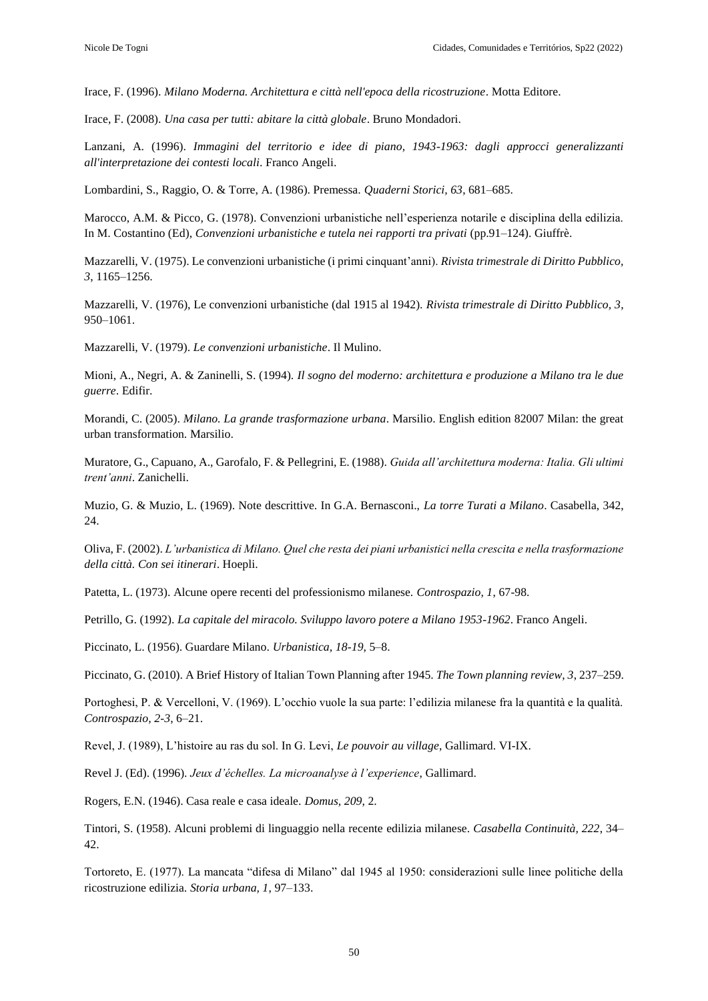Irace, F. (1996). *Milano Moderna. Architettura e città nell'epoca della ricostruzione*. Motta Editore.

Irace, F. (2008). *Una casa per tutti: abitare la città globale*. Bruno Mondadori.

Lanzani, A. (1996). *Immagini del territorio e idee di piano, 1943-1963: dagli approcci generalizzanti all'interpretazione dei contesti locali*. Franco Angeli.

Lombardini, S., Raggio, O. & Torre, A. (1986). Premessa. *Quaderni Storici, 63*, 681–685.

Marocco, A.M. & Picco, G. (1978). Convenzioni urbanistiche nell'esperienza notarile e disciplina della edilizia. In M. Costantino (Ed), *Convenzioni urbanistiche e tutela nei rapporti tra privati* (pp.91–124). Giuffrè.

Mazzarelli, V. (1975). Le convenzioni urbanistiche (i primi cinquant'anni). *Rivista trimestrale di Diritto Pubblico, 3*, 1165–1256.

Mazzarelli, V. (1976), Le convenzioni urbanistiche (dal 1915 al 1942). *Rivista trimestrale di Diritto Pubblico, 3*, 950–1061.

Mazzarelli, V. (1979). *Le convenzioni urbanistiche*. Il Mulino.

Mioni, A., Negri, A. & Zaninelli, S. (1994). *Il sogno del moderno: architettura e produzione a Milano tra le due guerre*. Edifir.

Morandi, C. (2005). *Milano. La grande trasformazione urbana*. Marsilio. English edition 82007 Milan: the great urban transformation. Marsilio.

Muratore, G., Capuano, A., Garofalo, F. & Pellegrini, E. (1988). *Guida all'architettura moderna: Italia. Gli ultimi trent'anni*. Zanichelli.

Muzio, G. & Muzio, L. (1969). Note descrittive. In G.A. Bernasconi., *La torre Turati a Milano*. Casabella, 342, 24.

Oliva, F. (2002). *L'urbanistica di Milano. Quel che resta dei piani urbanistici nella crescita e nella trasformazione della città. Con sei itinerari*. Hoepli.

Patetta, L. (1973). Alcune opere recenti del professionismo milanese. *Controspazio, 1*, 67-98.

Petrillo, G. (1992). *La capitale del miracolo. Sviluppo lavoro potere a Milano 1953-1962*. Franco Angeli.

Piccinato, L. (1956). Guardare Milano. *Urbanistica, 18-19*, 5–8.

Piccinato, G. (2010). A Brief History of Italian Town Planning after 1945. *The Town planning review, 3*, 237–259.

Portoghesi, P. & Vercelloni, V. (1969). L'occhio vuole la sua parte: l'edilizia milanese fra la quantità e la qualità. *Controspazio, 2-3*, 6–21.

Revel, J. (1989), L'histoire au ras du sol. In G. Levi, *Le pouvoir au village*, Gallimard. VI-IX.

Revel J. (Ed). (1996). *Jeux d'échelles. La microanalyse à l'experience*, Gallimard.

Rogers, E.N. (1946). Casa reale e casa ideale. *Domus, 209*, 2.

Tintori, S. (1958). Alcuni problemi di linguaggio nella recente edilizia milanese. *Casabella Continuità, 222*, 34– 42.

Tortoreto, E. (1977). La mancata "difesa di Milano" dal 1945 al 1950: considerazioni sulle linee politiche della ricostruzione edilizia. *Storia urbana, 1*, 97–133.